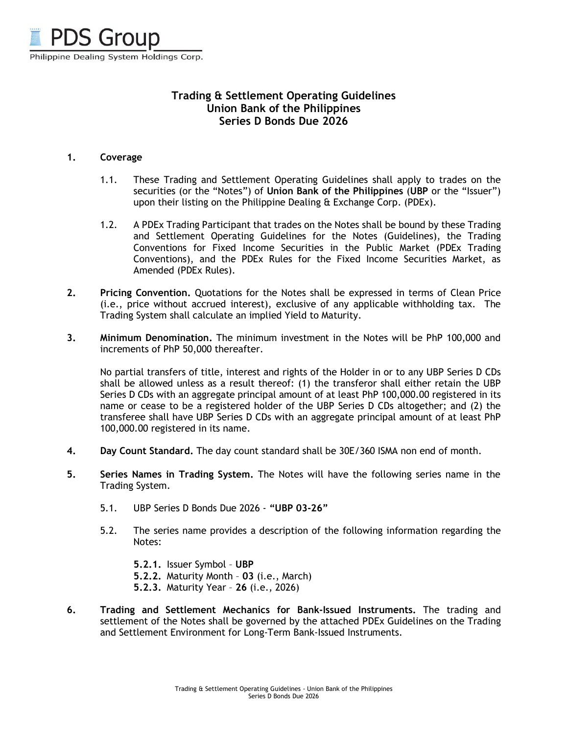

## **Trading & Settlement Operating Guidelines Union Bank of the Philippines Series D Bonds Due 2026**

## **1. Coverage**

- 1.1. These Trading and Settlement Operating Guidelines shall apply to trades on the securities (or the "Notes") of **Union Bank of the Philippines** (**UBP** or the "Issuer") upon their listing on the Philippine Dealing & Exchange Corp. (PDEx).
- 1.2. A PDEx Trading Participant that trades on the Notes shall be bound by these Trading and Settlement Operating Guidelines for the Notes (Guidelines), the Trading Conventions for Fixed Income Securities in the Public Market (PDEx Trading Conventions), and the PDEx Rules for the Fixed Income Securities Market, as Amended (PDEx Rules).
- **2. Pricing Convention.** Quotations for the Notes shall be expressed in terms of Clean Price (i.e., price without accrued interest), exclusive of any applicable withholding tax. The Trading System shall calculate an implied Yield to Maturity.
- **3. Minimum Denomination.** The minimum investment in the Notes will be PhP 100,000 and increments of PhP 50,000 thereafter.

No partial transfers of title, interest and rights of the Holder in or to any UBP Series D CDs shall be allowed unless as a result thereof: (1) the transferor shall either retain the UBP Series D CDs with an aggregate principal amount of at least PhP 100,000.00 registered in its name or cease to be a registered holder of the UBP Series D CDs altogether; and (2) the transferee shall have UBP Series D CDs with an aggregate principal amount of at least PhP 100,000.00 registered in its name.

- **4. Day Count Standard.** The day count standard shall be 30E/360 ISMA non end of month.
- **5. Series Names in Trading System.** The Notes will have the following series name in the Trading System.
	- 5.1. UBP Series D Bonds Due 2026 **"UBP 03-26"**
	- 5.2. The series name provides a description of the following information regarding the Notes:
		- **5.2.1.** Issuer Symbol – **UBP**
		- **5.2.2.** Maturity Month **03** (i.e., March)
		- **5.2.3.** Maturity Year **26** (i.e., 2026)
- **6. Trading and Settlement Mechanics for Bank-Issued Instruments.** The trading and settlement of the Notes shall be governed by the attached PDEx Guidelines on the Trading and Settlement Environment for Long-Term Bank-Issued Instruments.